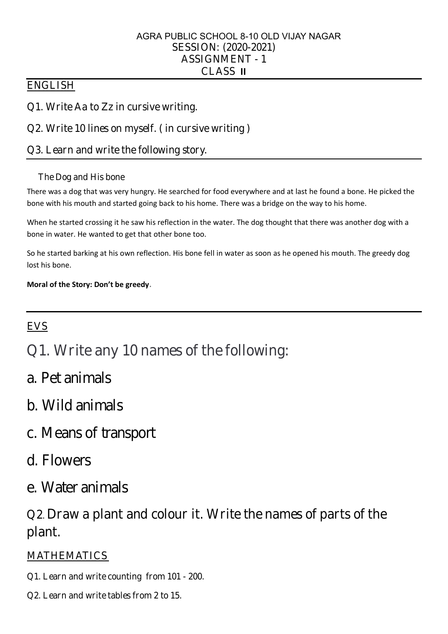- Q1. WriteAa to Zz in cursivewriting.
- Q2. Write 10 lines on myself. ( in cursive writing )
- Q3. L earn and write the following story.

#### TheDog and His bone

There was a dog that was very hungry. He searched for food everywhere and at last he found a bone. He picked the bone with his mouth and started going back to his home. There was a bridge on the way to his home.

When he started crossing it he saw his reflection in the water. The dog thought that there was another dog with a bone in water. He wanted to get that other bone too.

#### SESSION: (2020-2021) ASSIGNM ENT - 1 CL ASS **II** AGRA PUBLIC SCHOOL 8-10 OLD VIJAY NAGAR

## **ENGLISH**

So he started barking at his own reflection. His bone fell in water as soon as he opened his mouth. The greedy dog lost his bone.

**Moral of the Story: Don't be greedy**.

# **EVS**

- Q1. Write any 10 names of the following:
- a. Pet animals
- b. Wild animals

c. Means of transport

d. Flowers

e. Water animals

Q2.Draw a plant and colour it. Write thenames of parts of the plant.

## **MATHEMATICS**

Q1. Learn and write counting from 101 - 200.

Q2. Learn and write tables from 2 to 15.